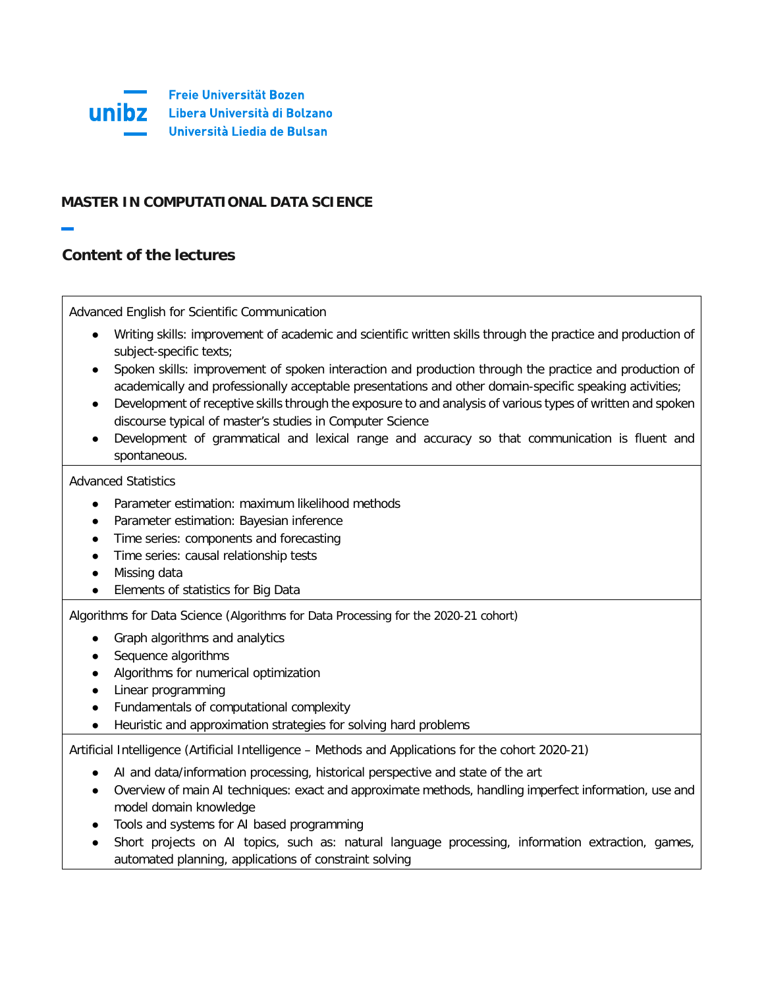

# **MASTER IN COMPUTATIONAL DATA SCIENCE**

# **Content of the lectures**

Advanced English for Scientific Communication

- Writing skills: improvement of academic and scientific written skills through the practice and production of subject-specific texts;
- Spoken skills: improvement of spoken interaction and production through the practice and production of academically and professionally acceptable presentations and other domain-specific speaking activities;
- Development of receptive skills through the exposure to and analysis of various types of written and spoken discourse typical of master's studies in Computer Science
- Development of grammatical and lexical range and accuracy so that communication is fluent and spontaneous.

## Advanced Statistics

- Parameter estimation: maximum likelihood methods
- Parameter estimation: Bayesian inference
- Time series: components and forecasting
- Time series: causal relationship tests
- Missing data
- Elements of statistics for Big Data

Algorithms for Data Science (Algorithms for Data Processing for the 2020-21 cohort)

- Graph algorithms and analytics
- Sequence algorithms
- Algorithms for numerical optimization
- Linear programming
- Fundamentals of computational complexity
- Heuristic and approximation strategies for solving hard problems

Artificial Intelligence (Artificial Intelligence – Methods and Applications for the cohort 2020-21)

- AI and data/information processing, historical perspective and state of the art
- Overview of main AI techniques: exact and approximate methods, handling imperfect information, use and model domain knowledge
- Tools and systems for AI based programming
- Short projects on AI topics, such as: natural language processing, information extraction, games, automated planning, applications of constraint solving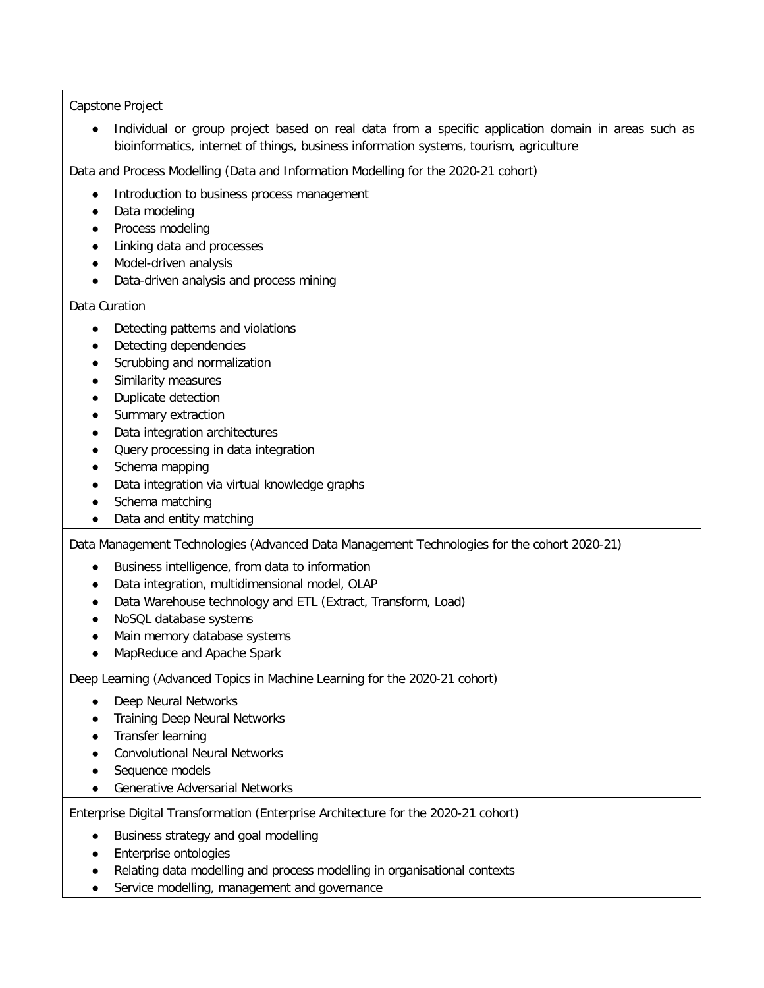## Capstone Project

● Individual or group project based on real data from a specific application domain in areas such as bioinformatics, internet of things, business information systems, tourism, agriculture

Data and Process Modelling (Data and Information Modelling for the 2020-21 cohort)

- Introduction to business process management
- Data modeling
- Process modeling
- Linking data and processes
- Model-driven analysis
- Data-driven analysis and process mining

Data Curation

- Detecting patterns and violations
- Detecting dependencies
- Scrubbing and normalization
- Similarity measures
- Duplicate detection
- Summary extraction
- Data integration architectures
- Query processing in data integration
- Schema mapping
- Data integration via virtual knowledge graphs
- Schema matching
- Data and entity matching

Data Management Technologies (Advanced Data Management Technologies for the cohort 2020-21)

- Business intelligence, from data to information
- Data integration, multidimensional model, OLAP
- Data Warehouse technology and ETL (Extract, Transform, Load)
- NoSQL database systems
- Main memory database systems
- MapReduce and Apache Spark

Deep Learning (Advanced Topics in Machine Learning for the 2020-21 cohort)

- Deep Neural Networks
- Training Deep Neural Networks
- Transfer learning
- Convolutional Neural Networks
- Sequence models
- Generative Adversarial Networks

Enterprise Digital Transformation (Enterprise Architecture for the 2020-21 cohort)

- Business strategy and goal modelling
- Enterprise ontologies
- Relating data modelling and process modelling in organisational contexts
- Service modelling, management and governance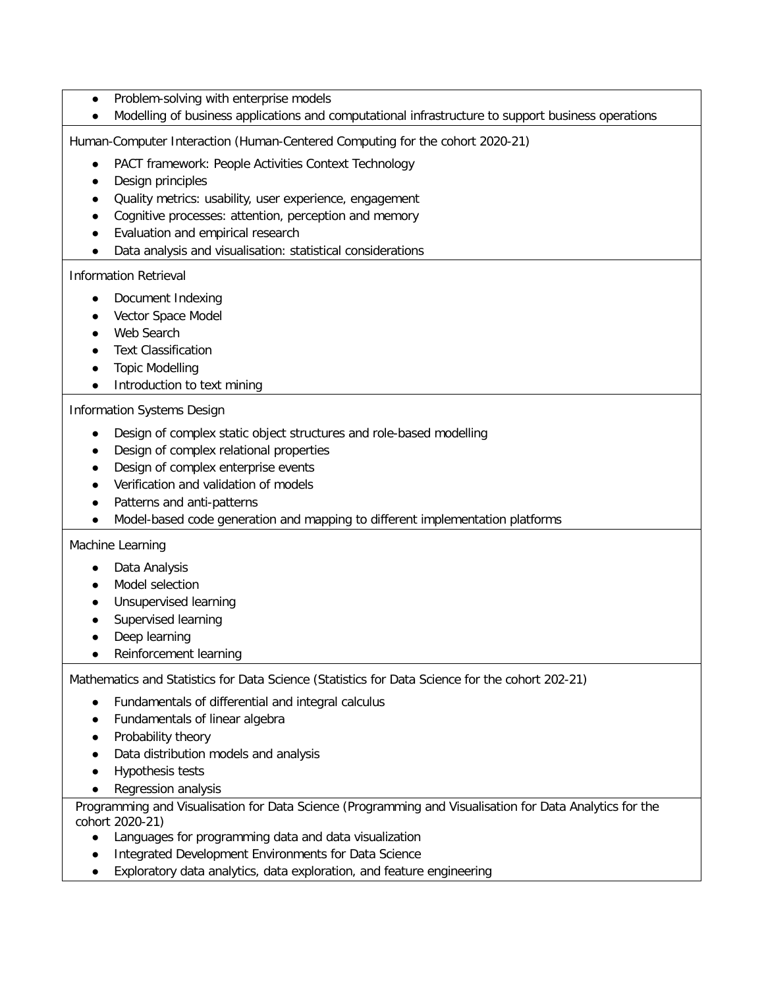- Problem-solving with enterprise models
- Modelling of business applications and computational infrastructure to support business operations

Human-Computer Interaction (Human-Centered Computing for the cohort 2020-21)

- PACT framework: People Activities Context Technology
- Design principles
- Quality metrics: usability, user experience, engagement
- Cognitive processes: attention, perception and memory
- Evaluation and empirical research
- Data analysis and visualisation: statistical considerations

## Information Retrieval

- Document Indexing
- Vector Space Model
- Web Search
- Text Classification
- Topic Modelling
- Introduction to text mining

#### Information Systems Design

- Design of complex static object structures and role-based modelling
- Design of complex relational properties
- Design of complex enterprise events
- Verification and validation of models
- Patterns and anti-patterns
- Model-based code generation and mapping to different implementation platforms

### Machine Learning

- Data Analysis
- Model selection
- Unsupervised learning
- Supervised learning
- Deep learning
- Reinforcement learning

Mathematics and Statistics for Data Science (Statistics for Data Science for the cohort 202-21)

- Fundamentals of differential and integral calculus
- Fundamentals of linear algebra
- Probability theory
- Data distribution models and analysis
- Hypothesis tests
- Regression analysis

Programming and Visualisation for Data Science (Programming and Visualisation for Data Analytics for the cohort 2020-21)

- Languages for programming data and data visualization
- Integrated Development Environments for Data Science
- Exploratory data analytics, data exploration, and feature engineering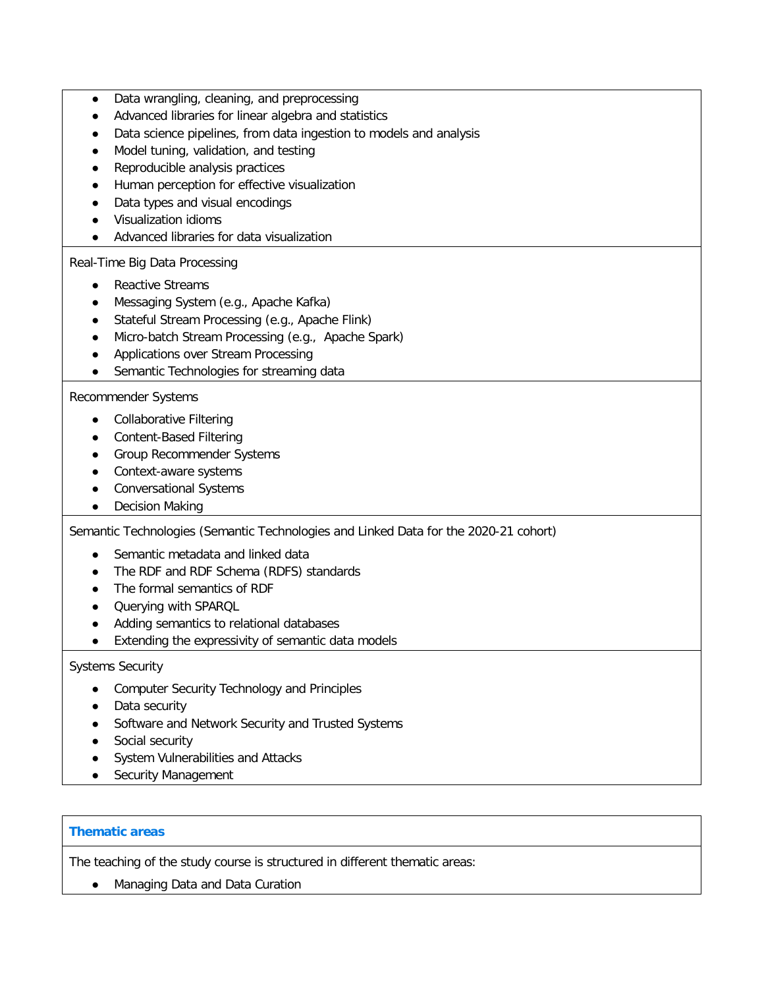- Data wrangling, cleaning, and preprocessing
- Advanced libraries for linear algebra and statistics
- Data science pipelines, from data ingestion to models and analysis
- Model tuning, validation, and testing
- Reproducible analysis practices
- Human perception for effective visualization
- Data types and visual encodings
- Visualization idioms
- Advanced libraries for data visualization

## Real-Time Big Data Processing

- Reactive Streams
- Messaging System (e.g., Apache Kafka)
- Stateful Stream Processing (e.g., Apache Flink)
- Micro-batch Stream Processing (e.g., Apache Spark)
- Applications over Stream Processing
- Semantic Technologies for streaming data

## Recommender Systems

- Collaborative Filtering
- Content-Based Filtering
- Group Recommender Systems
- Context-aware systems
- Conversational Systems
- Decision Making

Semantic Technologies (Semantic Technologies and Linked Data for the 2020-21 cohort)

- Semantic metadata and linked data
- The RDF and RDF Schema (RDFS) standards
- The formal semantics of RDF
- Querying with SPARQL
- Adding semantics to relational databases
- Extending the expressivity of semantic data models

## Systems Security

- Computer Security Technology and Principles
- Data security
- Software and Network Security and Trusted Systems
- Social security
- System Vulnerabilities and Attacks
- Security Management

## **Thematic areas**

The teaching of the study course is structured in different thematic areas:

● Managing Data and Data Curation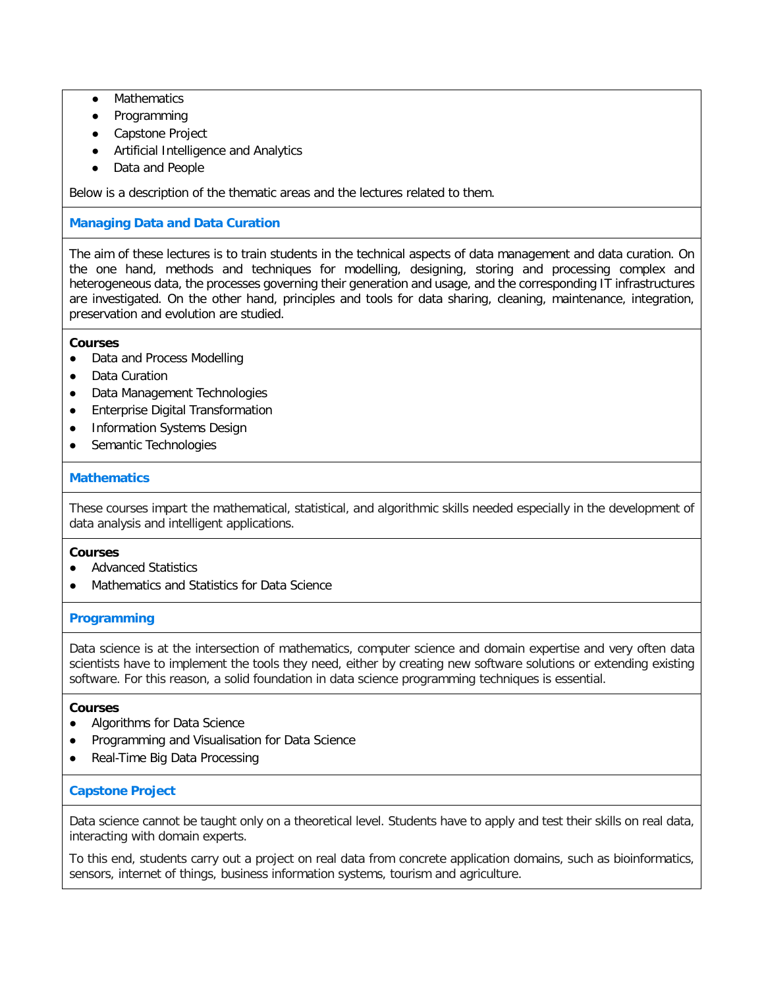- **Mathematics**
- Programming
- Capstone Project
- Artificial Intelligence and Analytics
- Data and People

Below is a description of the thematic areas and the lectures related to them.

## **Managing Data and Data Curation**

The aim of these lectures is to train students in the technical aspects of data management and data curation. On the one hand, methods and techniques for modelling, designing, storing and processing complex and heterogeneous data, the processes governing their generation and usage, and the corresponding IT infrastructures are investigated. On the other hand, principles and tools for data sharing, cleaning, maintenance, integration, preservation and evolution are studied.

## **Courses**

- Data and Process Modelling
- Data Curation
- **Data Management Technologies**
- **Enterprise Digital Transformation**
- **Information Systems Design**
- Semantic Technologies

### **Mathematics**

These courses impart the mathematical, statistical, and algorithmic skills needed especially in the development of data analysis and intelligent applications.

#### **Courses**

- **Advanced Statistics**
- Mathematics and Statistics for Data Science

## **Programming**

Data science is at the intersection of mathematics, computer science and domain expertise and very often data scientists have to implement the tools they need, either by creating new software solutions or extending existing software. For this reason, a solid foundation in data science programming techniques is essential.

#### **Courses**

- Algorithms for Data Science
- Programming and Visualisation for Data Science
- Real-Time Big Data Processing

## **Capstone Project**

Data science cannot be taught only on a theoretical level. Students have to apply and test their skills on real data, interacting with domain experts.

To this end, students carry out a project on real data from concrete application domains, such as bioinformatics, sensors, internet of things, business information systems, tourism and agriculture.